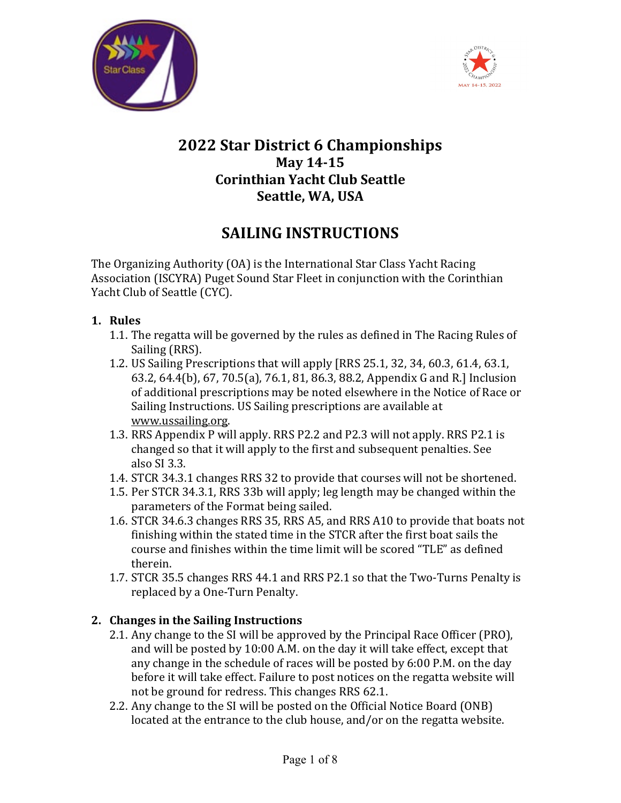



## **2022 Star District 6 Championships May 14-15 Corinthian Yacht Club Seattle Seattle, WA, USA**

# **SAILING INSTRUCTIONS**

The Organizing Authority (OA) is the International Star Class Yacht Racing Association (ISCYRA) Puget Sound Star Fleet in conjunction with the Corinthian Yacht Club of Seattle (CYC).

- **1. Rules**
	- 1.1. The regatta will be governed by the rules as defined in The Racing Rules of Sailing (RRS).
	- 1.2. US Sailing Prescriptions that will apply [RRS 25.1, 32, 34, 60.3, 61.4, 63.1, 63.2, 64.4(b), 67, 70.5(a), 76.1, 81, 86.3, 88.2, Appendix G and R.] Inclusion of additional prescriptions may be noted elsewhere in the Notice of Race or Sailing Instructions. US Sailing prescriptions are available at [www.ussailing.org.](http://www.ussailing.org/)
	- 1.3. RRS Appendix P will apply. RRS P2.2 and P2.3 will not apply. RRS P2.1 is changed so that it will apply to the first and subsequent penalties. See also SI 3.3.
	- 1.4. STCR 34.3.1 changes RRS 32 to provide that courses will not be shortened.
	- 1.5. Per STCR 34.3.1, RRS 33b will apply; leg length may be changed within the parameters of the Format being sailed.
	- 1.6. STCR 34.6.3 changes RRS 35, RRS A5, and RRS A10 to provide that boats not finishing within the stated time in the STCR after the first boat sails the course and finishes within the time limit will be scored "TLE" as defined therein.
	- 1.7. STCR 35.5 changes RRS 44.1 and RRS P2.1 so that the Two‐Turns Penalty is replaced by a One‐Turn Penalty.

## **2. Changes in the Sailing Instructions**

- 2.1. Any change to the SI will be approved by the Principal Race Officer (PRO), and will be posted by 10:00 A.M. on the day it will take effect, except that any change in the schedule of races will be posted by 6:00 P.M. on the day before it will take effect. Failure to post notices on the regatta website will not be ground for redress. This changes RRS 62.1.
- 2.2. Any change to the SI will be posted on the Official Notice Board (ONB) located at the entrance to the club house, and/or on the regatta website.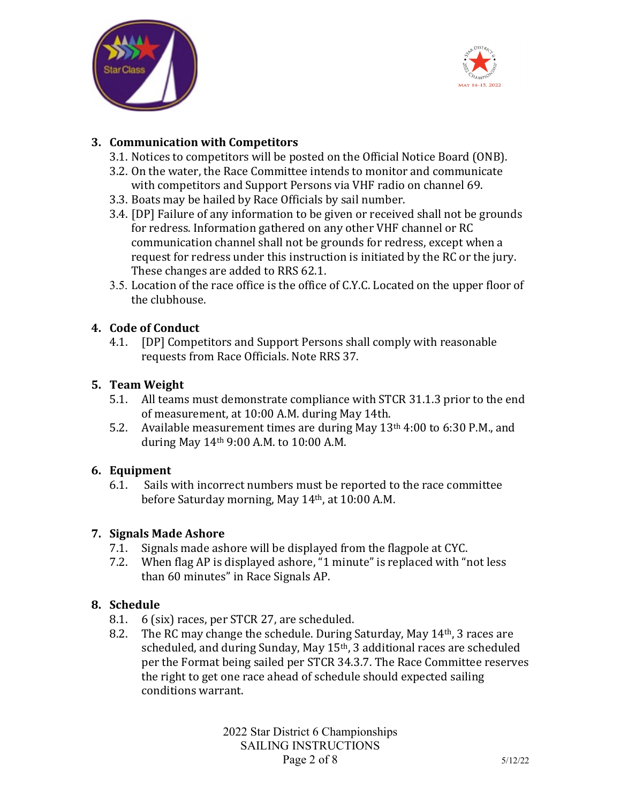



#### **3. Communication with Competitors**

- 3.1. Notices to competitors will be posted on the Official Notice Board (ONB).
- 3.2. On the water, the Race Committee intends to monitor and communicate with competitors and Support Persons via VHF radio on channel 69.
- 3.3. Boats may be hailed by Race Officials by sail number.
- 3.4. [DP] Failure of any information to be given or received shall not be grounds for redress. Information gathered on any other VHF channel or RC communication channel shall not be grounds for redress, except when a request for redress under this instruction is initiated by the RC or the jury. These changes are added to RRS 62.1.
- 3.5. Location of the race office is the office of C.Y.C. Located on the upper floor of the clubhouse.

## **4. Code of Conduct**

4.1. [DP] Competitors and Support Persons shall comply with reasonable requests from Race Officials. Note RRS 37.

## **5. Team Weight**

- 5.1. All teams must demonstrate compliance with STCR 31.1.3 prior to the end of measurement, at 10:00 A.M. during May 14th.
- 5.2. Available measurement times are during May 13th 4:00 to 6:30 P.M., and during May 14th 9:00 A.M. to 10:00 A.M.

## **6. Equipment**

6.1. Sails with incorrect numbers must be reported to the race committee before Saturday morning, May 14th, at 10:00 A.M.

## **7. Signals Made Ashore**

- 7.1. Signals made ashore will be displayed from the flagpole at CYC.<br>7.2. When flag AP is displayed ashore. "1 minute" is replaced with "r
- When flag AP is displayed ashore, "1 minute" is replaced with "not less than 60 minutes" in Race Signals AP.

## **8. Schedule**

- 8.1. 6 (six) races, per STCR 27, are scheduled.<br>8.2. The RC may change the schedule. During S
- The RC may change the schedule. During Saturday, May 14<sup>th</sup>, 3 races are scheduled, and during Sunday, May 15th, 3 additional races are scheduled per the Format being sailed per STCR 34.3.7. The Race Committee reserves the right to get one race ahead of schedule should expected sailing conditions warrant.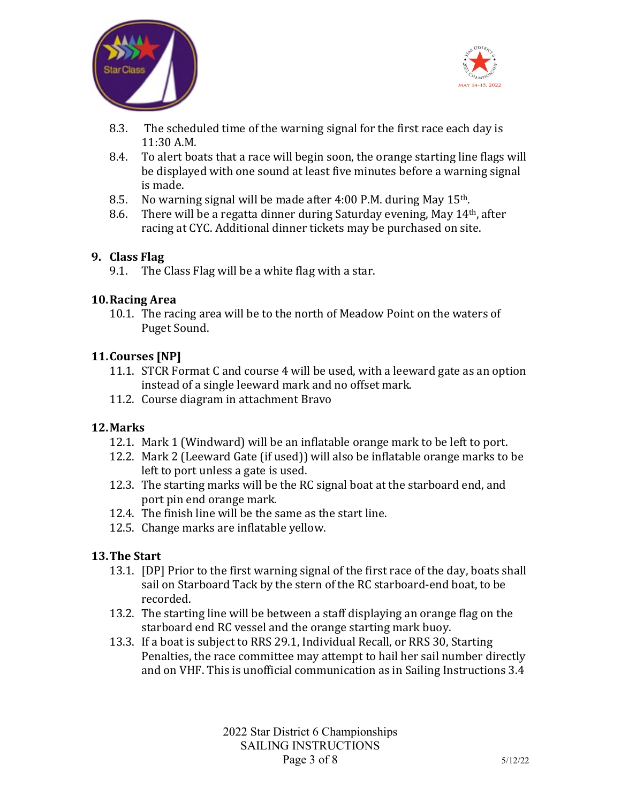



- 8.3. The scheduled time of the warning signal for the first race each day is 11:30 A.M.
- 8.4. To alert boats that a race will begin soon, the orange starting line flags will be displayed with one sound at least five minutes before a warning signal is made.
- 
- 8.5. No warning signal will be made after 4:00 P.M. during May  $15<sup>th</sup>$ .<br>8.6. There will be a regatta dinner during Saturday evening, May  $14<sup>th</sup>$ 8.6. There will be a regatta dinner during Saturday evening, May 14th, after racing at CYC. Additional dinner tickets may be purchased on site.

#### **9. Class Flag**

9.1. The Class Flag will be a white flag with a star.

#### **10.Racing Area**

10.1. The racing area will be to the north of Meadow Point on the waters of Puget Sound.

#### **11.Courses [NP]**

- 11.1. STCR Format C and course 4 will be used, with a leeward gate as an option instead of a single leeward mark and no offset mark.
- 11.2. Course diagram in attachment Bravo

#### **12.Marks**

- 12.1. Mark 1 (Windward) will be an inflatable orange mark to be left to port.
- 12.2. Mark 2 (Leeward Gate (if used)) will also be inflatable orange marks to be left to port unless a gate is used.
- 12.3. The starting marks will be the RC signal boat at the starboard end, and port pin end orange mark.
- 12.4. The finish line will be the same as the start line.
- 12.5. Change marks are inflatable yellow.

#### **13.The Start**

- 13.1. [DP] Prior to the first warning signal of the first race of the day, boats shall sail on Starboard Tack by the stern of the RC starboard-end boat, to be recorded.
- 13.2. The starting line will be between a staff displaying an orange flag on the starboard end RC vessel and the orange starting mark buoy.
- 13.3. If a boat is subject to RRS 29.1, Individual Recall, or RRS 30, Starting Penalties, the race committee may attempt to hail her sail number directly and on VHF. This is unofficial communication as in Sailing Instructions 3.4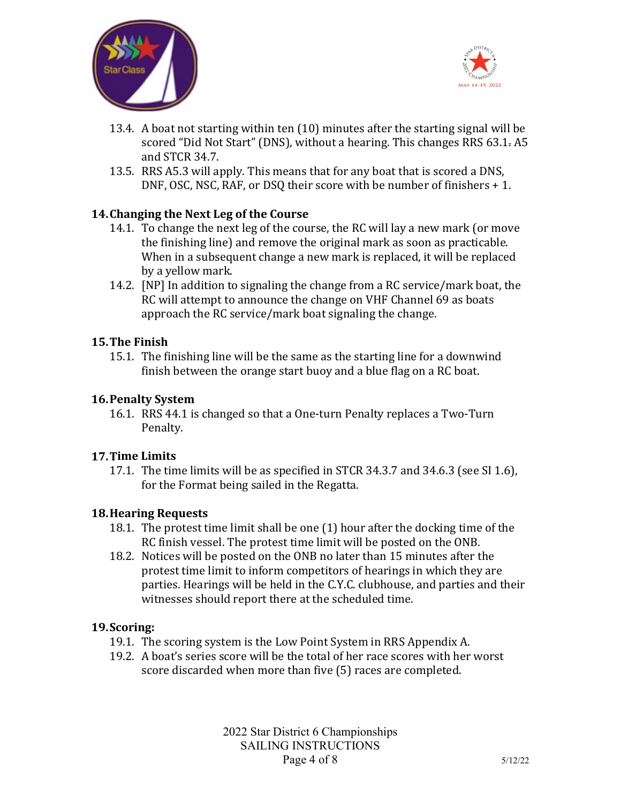



- 13.4. A boat not starting within ten (10) minutes after the starting signal will be scored "Did Not Start" (DNS), without a hearing. This changes RRS 63.1. A5 and STCR 34.7.
- 13.5. RRS A5.3 will apply. This means that for any boat that is scored a DNS, DNF, OSC, NSC, RAF, or DSQ their score with be number of finishers + 1.

#### **14.Changing the Next Leg of the Course**

- 14.1. To change the next leg of the course, the RC will lay a new mark (or move the finishing line) and remove the original mark as soon as practicable. When in a subsequent change a new mark is replaced, it will be replaced by a yellow mark.
- 14.2. [NP] In addition to signaling the change from a RC service/mark boat, the RC will attempt to announce the change on VHF Channel 69 as boats approach the RC service/mark boat signaling the change.

#### **15.The Finish**

15.1. The finishing line will be the same as the starting line for a downwind finish between the orange start buoy and a blue flag on a RC boat.

#### **16.Penalty System**

16.1. RRS 44.1 is changed so that a One-turn Penalty replaces a Two-Turn Penalty.

#### **17.Time Limits**

17.1. The time limits will be as specified in STCR 34.3.7 and 34.6.3 (see SI 1.6), for the Format being sailed in the Regatta.

#### **18.Hearing Requests**

- 18.1. The protest time limit shall be one (1) hour after the docking time of the RC finish vessel. The protest time limit will be posted on the ONB.
- 18.2. Notices will be posted on the ONB no later than 15 minutes after the protest time limit to inform competitors of hearings in which they are parties. Hearings will be held in the C.Y.C. clubhouse, and parties and their witnesses should report there at the scheduled time.

#### **19.Scoring:**

- 19.1. The scoring system is the Low Point System in RRS Appendix A.
- 19.2. A boat's series score will be the total of her race scores with her worst score discarded when more than five (5) races are completed.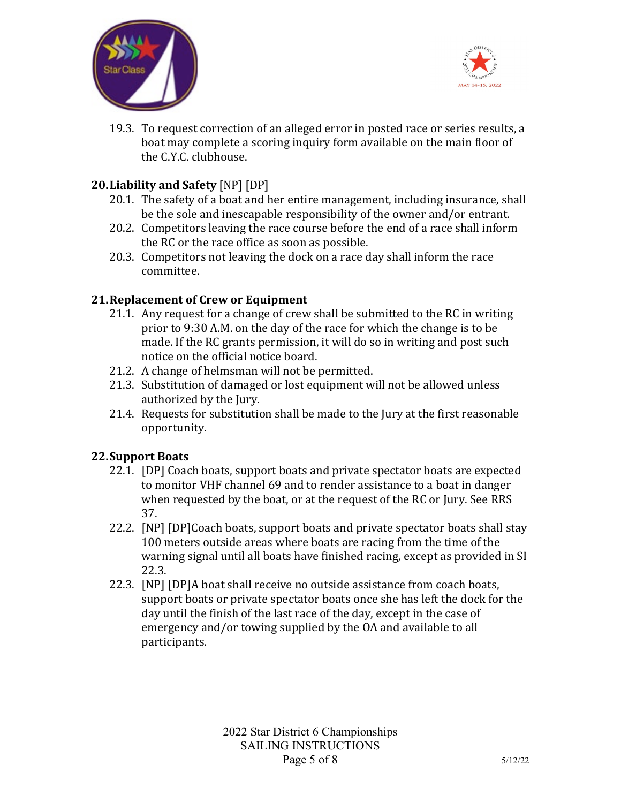



19.3. To request correction of an alleged error in posted race or series results, a boat may complete a scoring inquiry form available on the main floor of the C.Y.C. clubhouse.

### **20.Liability and Safety** [NP] [DP]

- 20.1. The safety of a boat and her entire management, including insurance, shall be the sole and inescapable responsibility of the owner and/or entrant.
- 20.2. Competitors leaving the race course before the end of a race shall inform the RC or the race office as soon as possible.
- 20.3. Competitors not leaving the dock on a race day shall inform the race committee.

### **21.Replacement of Crew or Equipment**

- 21.1. Any request for a change of crew shall be submitted to the RC in writing prior to 9:30 A.M. on the day of the race for which the change is to be made. If the RC grants permission, it will do so in writing and post such notice on the official notice board.
- 21.2. A change of helmsman will not be permitted.
- 21.3. Substitution of damaged or lost equipment will not be allowed unless authorized by the Jury.
- 21.4. Requests for substitution shall be made to the Jury at the first reasonable opportunity.

#### **22.Support Boats**

- 22.1. [DP] Coach boats, support boats and private spectator boats are expected to monitor VHF channel 69 and to render assistance to a boat in danger when requested by the boat, or at the request of the RC or Jury. See RRS 37.
- 22.2. [NP] [DP]Coach boats, support boats and private spectator boats shall stay 100 meters outside areas where boats are racing from the time of the warning signal until all boats have finished racing, except as provided in SI 22.3.
- 22.3. [NP] [DP]A boat shall receive no outside assistance from coach boats, support boats or private spectator boats once she has left the dock for the day until the finish of the last race of the day, except in the case of emergency and/or towing supplied by the OA and available to all participants.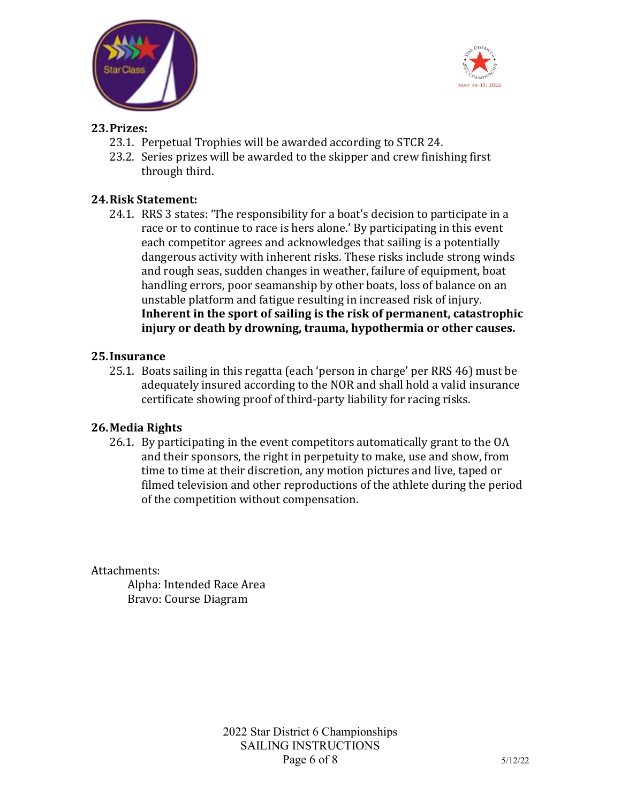



#### **23.Prizes:**

- 23.1. Perpetual Trophies will be awarded according to STCR 24.
- 23.2. Series prizes will be awarded to the skipper and crew finishing first through third.

#### **24.Risk Statement:**

24.1. RRS 3 states: 'The responsibility for a boat's decision to participate in a race or to continue to race is hers alone.' By participating in this event each competitor agrees and acknowledges that sailing is a potentially dangerous activity with inherent risks. These risks include strong winds and rough seas, sudden changes in weather, failure of equipment, boat handling errors, poor seamanship by other boats, loss of balance on an unstable platform and fatigue resulting in increased risk of injury. **Inherent in the sport of sailing is the risk of permanent, catastrophic injury or death by drowning, trauma, hypothermia or other causes.**

#### **25.Insurance**

25.1. Boats sailing in this regatta (each 'person in charge' per RRS 46) must be adequately insured according to the NOR and shall hold a valid insurance certificate showing proof of third-party liability for racing risks.

#### **26.Media Rights**

26.1. By participating in the event competitors automatically grant to the OA and their sponsors, the right in perpetuity to make, use and show, from time to time at their discretion, any motion pictures and live, taped or filmed television and other reproductions of the athlete during the period of the competition without compensation.

Attachments:

Alpha: Intended Race Area Bravo: Course Diagram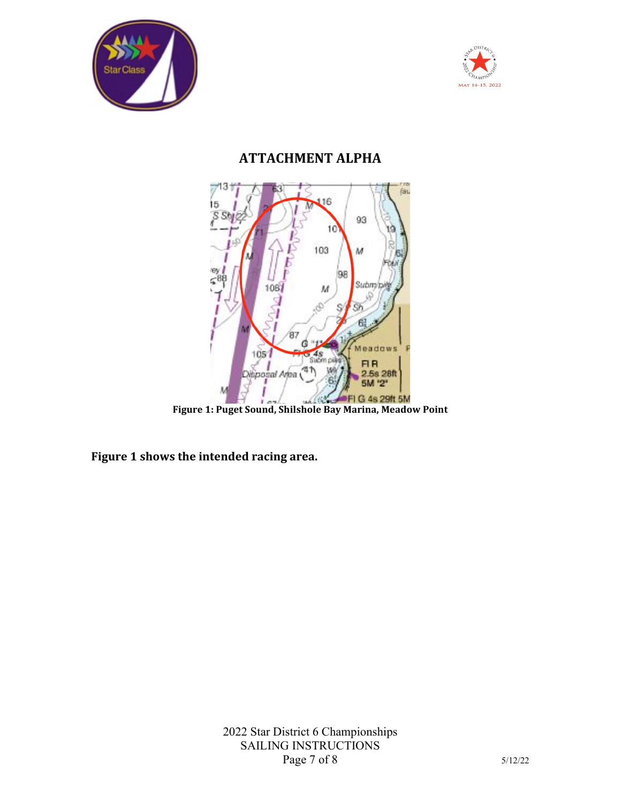



## **ATTACHMENT ALPHA**



**Figure 1: Puget Sound, Shilshole Bay Marina, Meadow Point**

**Figure 1 shows the intended racing area.**